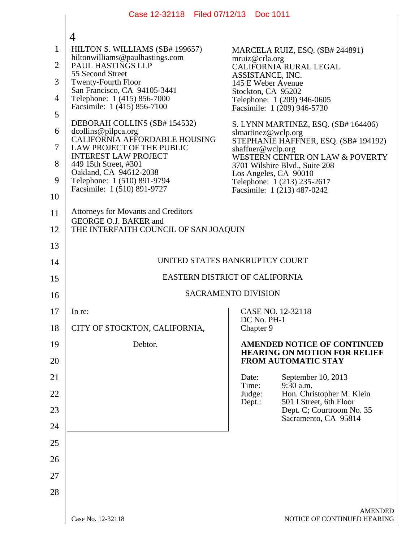|                                | Case 12-32118 Filed 07/12/13 Doc 1011                                                   |                                                                                                         |  |
|--------------------------------|-----------------------------------------------------------------------------------------|---------------------------------------------------------------------------------------------------------|--|
|                                | 4                                                                                       |                                                                                                         |  |
| $\mathbf{1}$<br>$\overline{2}$ | HILTON S. WILLIAMS (SB# 199657)<br>hiltonwilliams@paulhastings.com<br>PAUL HASTINGS LLP | MARCELA RUIZ, ESQ. (SB# 244891)<br>mruiz@crla.org                                                       |  |
| 3                              | 55 Second Street                                                                        | CALIFORNIA RURAL LEGAL<br>ASSISTANCE, INC.                                                              |  |
| 4                              | <b>Twenty-Fourth Floor</b><br>San Francisco, CA 94105-3441                              | 145 E Weber Avenue<br>Stockton, CA 95202                                                                |  |
| 5                              | Telephone: 1 (415) 856-7000<br>Facsimile: 1 (415) 856-7100                              | Telephone: 1 (209) 946-0605<br>Facsimile: 1 (209) 946-5730                                              |  |
| 6                              | DEBORAH COLLINS (SB# 154532)                                                            | S. LYNN MARTINEZ, ESQ. (SB# 164406)                                                                     |  |
| 7                              | dcollins@pilpca.org<br>CALIFORNIA AFFORDABLE HOUSING                                    | slmartinez@wclp.org<br>STEPHANIE HAFFNER, ESQ. (SB# 194192)                                             |  |
| 8                              | LAW PROJECT OF THE PUBLIC<br><b>INTEREST LAW PROJECT</b>                                | shaffner@wclp.org<br>WESTERN CENTER ON LAW & POVERTY                                                    |  |
| 9                              | 449 15th Street, #301<br>Oakland, CA 94612-2038                                         | 3701 Wilshire Blvd., Suite 208<br>Los Angeles, CA 90010                                                 |  |
| 10                             | Telephone: 1 (510) 891-9794<br>Facsimile: 1 (510) 891-9727                              | Telephone: 1 (213) 235-2617<br>Facsimile: 1 (213) 487-0242                                              |  |
| 11                             | <b>Attorneys for Movants and Creditors</b>                                              |                                                                                                         |  |
|                                | GEORGE O.J. BAKER and                                                                   |                                                                                                         |  |
| 12<br>13                       | THE INTERFAITH COUNCIL OF SAN JOAQUIN                                                   |                                                                                                         |  |
|                                | UNITED STATES BANKRUPTCY COURT                                                          |                                                                                                         |  |
| 14                             | EASTERN DISTRICT OF CALIFORNIA                                                          |                                                                                                         |  |
| 15                             | <b>SACRAMENTO DIVISION</b>                                                              |                                                                                                         |  |
| 16                             |                                                                                         |                                                                                                         |  |
| 17                             | In re:                                                                                  | CASE NO. 12-32118<br>DC No. PH-1                                                                        |  |
| 18                             | CITY OF STOCKTON, CALIFORNIA,                                                           | Chapter 9                                                                                               |  |
| 19<br>20                       | Debtor.                                                                                 | <b>AMENDED NOTICE OF CONTINUED</b><br><b>HEARING ON MOTION FOR RELIEF</b><br><b>FROM AUTOMATIC STAY</b> |  |
| 21                             |                                                                                         | September 10, 2013<br>Date:                                                                             |  |
| 22                             |                                                                                         | $9:\bar{3}0$ a.m.<br>Time:<br>Hon. Christopher M. Klein<br>Judge:                                       |  |
| 23                             |                                                                                         | 501 I Street, 6th Floor<br>Dept.:<br>Dept. C; Courtroom No. 35                                          |  |
| 24                             |                                                                                         | Sacramento, CA 95814                                                                                    |  |
| 25                             |                                                                                         |                                                                                                         |  |
| 26                             |                                                                                         |                                                                                                         |  |
| 27                             |                                                                                         |                                                                                                         |  |
| 28                             |                                                                                         |                                                                                                         |  |
|                                |                                                                                         |                                                                                                         |  |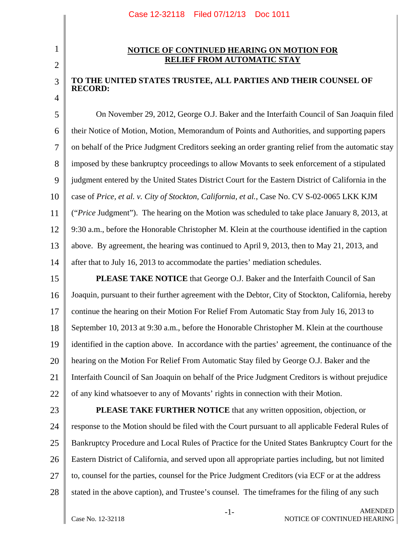## 2

3

4

1

## **NOTICE OF CONTINUED HEARING ON MOTION FOR RELIEF FROM AUTOMATIC STAY**

## **TO THE UNITED STATES TRUSTEE, ALL PARTIES AND THEIR COUNSEL OF RECORD:**

5 6 7 8 9 10 11 12 13 14 On November 29, 2012, George O.J. Baker and the Interfaith Council of San Joaquin filed their Notice of Motion, Motion, Memorandum of Points and Authorities, and supporting papers on behalf of the Price Judgment Creditors seeking an order granting relief from the automatic stay imposed by these bankruptcy proceedings to allow Movants to seek enforcement of a stipulated judgment entered by the United States District Court for the Eastern District of California in the case of *Price, et al. v. City of Stockton, California, et al.*, Case No. CV S-02-0065 LKK KJM ("*Price* Judgment"). The hearing on the Motion was scheduled to take place January 8, 2013, at 9:30 a.m., before the Honorable Christopher M. Klein at the courthouse identified in the caption above. By agreement, the hearing was continued to April 9, 2013, then to May 21, 2013, and after that to July 16, 2013 to accommodate the parties' mediation schedules.

15 16 17 18 19 20 21 22 **PLEASE TAKE NOTICE** that George O.J. Baker and the Interfaith Council of San Joaquin, pursuant to their further agreement with the Debtor, City of Stockton, California, hereby continue the hearing on their Motion For Relief From Automatic Stay from July 16, 2013 to September 10, 2013 at 9:30 a.m., before the Honorable Christopher M. Klein at the courthouse identified in the caption above. In accordance with the parties' agreement, the continuance of the hearing on the Motion For Relief From Automatic Stay filed by George O.J. Baker and the Interfaith Council of San Joaquin on behalf of the Price Judgment Creditors is without prejudice of any kind whatsoever to any of Movants' rights in connection with their Motion.

23

24

25

26

27

28

**PLEASE TAKE FURTHER NOTICE** that any written opposition, objection, or response to the Motion should be filed with the Court pursuant to all applicable Federal Rules of Bankruptcy Procedure and Local Rules of Practice for the United States Bankruptcy Court for the Eastern District of California, and served upon all appropriate parties including, but not limited to, counsel for the parties, counsel for the Price Judgment Creditors (via ECF or at the address stated in the above caption), and Trustee's counsel. The timeframes for the filing of any such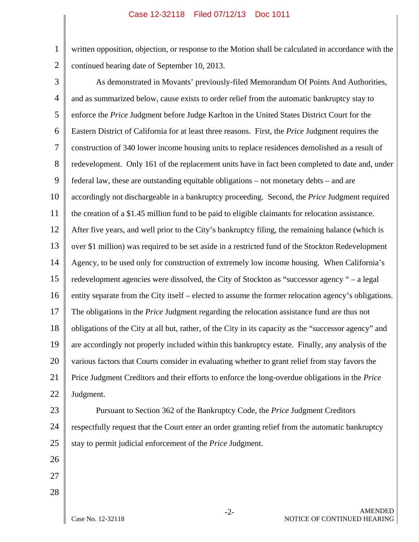## Case 12-32118 Filed 07/12/13 Doc 1011

2 written opposition, objection, or response to the Motion shall be calculated in accordance with the continued hearing date of September 10, 2013.

3

1

4 5 6 7 8 9 10 11 12 13 14 15 16 17 18 19 20 21 22 As demonstrated in Movants' previously-filed Memorandum Of Points And Authorities, and as summarized below, cause exists to order relief from the automatic bankruptcy stay to enforce the *Price* Judgment before Judge Karlton in the United States District Court for the Eastern District of California for at least three reasons. First, the *Price* Judgment requires the construction of 340 lower income housing units to replace residences demolished as a result of redevelopment. Only 161 of the replacement units have in fact been completed to date and, under federal law, these are outstanding equitable obligations – not monetary debts – and are accordingly not dischargeable in a bankruptcy proceeding. Second, the *Price* Judgment required the creation of a \$1.45 million fund to be paid to eligible claimants for relocation assistance. After five years, and well prior to the City's bankruptcy filing, the remaining balance (which is over \$1 million) was required to be set aside in a restricted fund of the Stockton Redevelopment Agency, to be used only for construction of extremely low income housing. When California's redevelopment agencies were dissolved, the City of Stockton as "successor agency " – a legal entity separate from the City itself – elected to assume the former relocation agency's obligations. The obligations in the *Price* Judgment regarding the relocation assistance fund are thus not obligations of the City at all but, rather, of the City in its capacity as the "successor agency" and are accordingly not properly included within this bankruptcy estate. Finally, any analysis of the various factors that Courts consider in evaluating whether to grant relief from stay favors the Price Judgment Creditors and their efforts to enforce the long-overdue obligations in the *Price* Judgment.

- 23 24 25 Pursuant to Section 362 of the Bankruptcy Code, the *Price* Judgment Creditors respectfully request that the Court enter an order granting relief from the automatic bankruptcy stay to permit judicial enforcement of the *Price* Judgment.
- 26
- 27 28